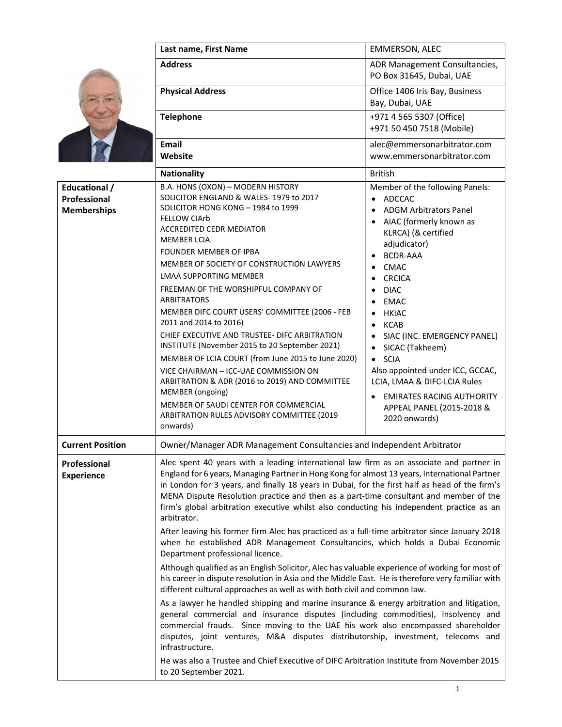|                                                     | Last name, First Name                                                                                                                                                                                                                                                                                                                                                                                                                                                                                                                                                                                                                                                                                                                                                                                                          | <b>EMMERSON, ALEC</b>                                                                                                                                                                                                                                                                                                                                                                                                                                                                                                                          |
|-----------------------------------------------------|--------------------------------------------------------------------------------------------------------------------------------------------------------------------------------------------------------------------------------------------------------------------------------------------------------------------------------------------------------------------------------------------------------------------------------------------------------------------------------------------------------------------------------------------------------------------------------------------------------------------------------------------------------------------------------------------------------------------------------------------------------------------------------------------------------------------------------|------------------------------------------------------------------------------------------------------------------------------------------------------------------------------------------------------------------------------------------------------------------------------------------------------------------------------------------------------------------------------------------------------------------------------------------------------------------------------------------------------------------------------------------------|
|                                                     | <b>Address</b>                                                                                                                                                                                                                                                                                                                                                                                                                                                                                                                                                                                                                                                                                                                                                                                                                 | ADR Management Consultancies,<br>PO Box 31645, Dubai, UAE                                                                                                                                                                                                                                                                                                                                                                                                                                                                                      |
|                                                     | <b>Physical Address</b>                                                                                                                                                                                                                                                                                                                                                                                                                                                                                                                                                                                                                                                                                                                                                                                                        | Office 1406 Iris Bay, Business<br>Bay, Dubai, UAE                                                                                                                                                                                                                                                                                                                                                                                                                                                                                              |
|                                                     | <b>Telephone</b>                                                                                                                                                                                                                                                                                                                                                                                                                                                                                                                                                                                                                                                                                                                                                                                                               | +971 4 565 5307 (Office)<br>+971 50 450 7518 (Mobile)                                                                                                                                                                                                                                                                                                                                                                                                                                                                                          |
|                                                     | <b>Email</b><br>Website                                                                                                                                                                                                                                                                                                                                                                                                                                                                                                                                                                                                                                                                                                                                                                                                        | alec@emmersonarbitrator.com<br>www.emmersonarbitrator.com                                                                                                                                                                                                                                                                                                                                                                                                                                                                                      |
|                                                     | <b>Nationality</b>                                                                                                                                                                                                                                                                                                                                                                                                                                                                                                                                                                                                                                                                                                                                                                                                             | <b>British</b>                                                                                                                                                                                                                                                                                                                                                                                                                                                                                                                                 |
| Educational /<br>Professional<br><b>Memberships</b> | B.A. HONS (OXON) - MODERN HISTORY<br>SOLICITOR ENGLAND & WALES-1979 to 2017<br>SOLICITOR HONG KONG - 1984 to 1999<br><b>FELLOW CIArb</b><br><b>ACCREDITED CEDR MEDIATOR</b><br><b>MEMBER LCIA</b><br>FOUNDER MEMBER OF IPBA<br>MEMBER OF SOCIETY OF CONSTRUCTION LAWYERS<br><b>LMAA SUPPORTING MEMBER</b><br>FREEMAN OF THE WORSHIPFUL COMPANY OF<br><b>ARBITRATORS</b><br>MEMBER DIFC COURT USERS' COMMITTEE (2006 - FEB<br>2011 and 2014 to 2016)<br>CHIEF EXECUTIVE AND TRUSTEE- DIFC ARBITRATION<br>INSTITUTE (November 2015 to 20 September 2021)<br>MEMBER OF LCIA COURT (from June 2015 to June 2020)<br>VICE CHAIRMAN - ICC-UAE COMMISSION ON<br>ARBITRATION & ADR (2016 to 2019) AND COMMITTEE<br>MEMBER (ongoing)<br>MEMBER OF SAUDI CENTER FOR COMMERCIAL<br>ARBITRATION RULES ADVISORY COMMITTEE (2019<br>onwards) | Member of the following Panels:<br><b>ADCCAC</b><br>$\bullet$<br><b>ADGM Arbitrators Panel</b><br>$\bullet$<br>AIAC (formerly known as<br>KLRCA) (& certified<br>adjudicator)<br><b>BCDR-AAA</b><br><b>CMAC</b><br>$\bullet$<br><b>CRCICA</b><br><b>DIAC</b><br><b>EMAC</b><br><b>HKIAC</b><br><b>KCAB</b><br>SIAC (INC. EMERGENCY PANEL)<br>SICAC (Takheem)<br><b>SCIA</b><br>$\bullet$<br>Also appointed under ICC, GCCAC,<br>LCIA, LMAA & DIFC-LCIA Rules<br><b>EMIRATES RACING AUTHORITY</b><br>APPEAL PANEL (2015-2018 &<br>2020 onwards) |
| <b>Current Position</b>                             | Owner/Manager ADR Management Consultancies and Independent Arbitrator                                                                                                                                                                                                                                                                                                                                                                                                                                                                                                                                                                                                                                                                                                                                                          |                                                                                                                                                                                                                                                                                                                                                                                                                                                                                                                                                |
| Professional<br><b>Experience</b>                   | Alec spent 40 years with a leading international law firm as an associate and partner in<br>England for 6 years, Managing Partner in Hong Kong for almost 13 years, International Partner<br>in London for 3 years, and finally 18 years in Dubai, for the first half as head of the firm's<br>MENA Dispute Resolution practice and then as a part-time consultant and member of the<br>firm's global arbitration executive whilst also conducting his independent practice as an<br>arbitrator.<br>After leaving his former firm Alec has practiced as a full-time arbitrator since January 2018<br>when he established ADR Management Consultancies, which holds a Dubai Economic<br>Department professional licence.                                                                                                        |                                                                                                                                                                                                                                                                                                                                                                                                                                                                                                                                                |
|                                                     | Although qualified as an English Solicitor, Alec has valuable experience of working for most of<br>his career in dispute resolution in Asia and the Middle East. He is therefore very familiar with<br>different cultural approaches as well as with both civil and common law.                                                                                                                                                                                                                                                                                                                                                                                                                                                                                                                                                |                                                                                                                                                                                                                                                                                                                                                                                                                                                                                                                                                |
|                                                     | As a lawyer he handled shipping and marine insurance & energy arbitration and litigation,<br>general commercial and insurance disputes (including commodities), insolvency and<br>commercial frauds. Since moving to the UAE his work also encompassed shareholder<br>disputes, joint ventures, M&A disputes distributorship, investment, telecoms and<br>infrastructure.                                                                                                                                                                                                                                                                                                                                                                                                                                                      |                                                                                                                                                                                                                                                                                                                                                                                                                                                                                                                                                |
|                                                     | He was also a Trustee and Chief Executive of DIFC Arbitration Institute from November 2015<br>to 20 September 2021.                                                                                                                                                                                                                                                                                                                                                                                                                                                                                                                                                                                                                                                                                                            |                                                                                                                                                                                                                                                                                                                                                                                                                                                                                                                                                |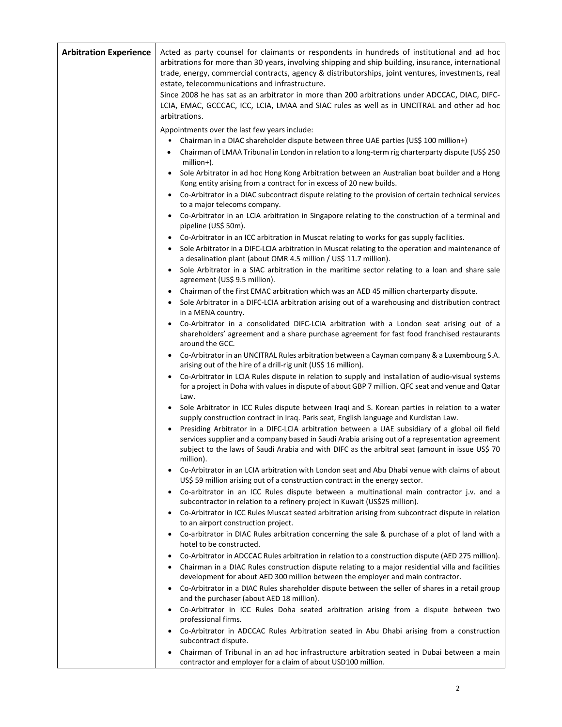| <b>Arbitration Experience</b> | Acted as party counsel for claimants or respondents in hundreds of institutional and ad hoc<br>arbitrations for more than 30 years, involving shipping and ship building, insurance, international<br>trade, energy, commercial contracts, agency & distributorships, joint ventures, investments, real<br>estate, telecommunications and infrastructure.<br>Since 2008 he has sat as an arbitrator in more than 200 arbitrations under ADCCAC, DIAC, DIFC- |
|-------------------------------|-------------------------------------------------------------------------------------------------------------------------------------------------------------------------------------------------------------------------------------------------------------------------------------------------------------------------------------------------------------------------------------------------------------------------------------------------------------|
|                               | LCIA, EMAC, GCCCAC, ICC, LCIA, LMAA and SIAC rules as well as in UNCITRAL and other ad hoc<br>arbitrations.                                                                                                                                                                                                                                                                                                                                                 |
|                               | Appointments over the last few years include:<br>Chairman in a DIAC shareholder dispute between three UAE parties (US\$ 100 million+)<br>Chairman of LMAA Tribunal in London in relation to a long-term rig charterparty dispute (US\$ 250<br>٠<br>million+).<br>Sole Arbitrator in ad hoc Hong Kong Arbitration between an Australian boat builder and a Hong<br>Kong entity arising from a contract for in excess of 20 new builds.                       |
|                               | Co-Arbitrator in a DIAC subcontract dispute relating to the provision of certain technical services<br>$\bullet$<br>to a major telecoms company.                                                                                                                                                                                                                                                                                                            |
|                               | Co-Arbitrator in an LCIA arbitration in Singapore relating to the construction of a terminal and<br>pipeline (US\$ 50m).                                                                                                                                                                                                                                                                                                                                    |
|                               | Co-Arbitrator in an ICC arbitration in Muscat relating to works for gas supply facilities.<br>٠<br>Sole Arbitrator in a DIFC-LCIA arbitration in Muscat relating to the operation and maintenance of<br>a desalination plant (about OMR 4.5 million / US\$ 11.7 million).                                                                                                                                                                                   |
|                               | Sole Arbitrator in a SIAC arbitration in the maritime sector relating to a loan and share sale<br>agreement (US\$ 9.5 million).                                                                                                                                                                                                                                                                                                                             |
|                               | Chairman of the first EMAC arbitration which was an AED 45 million charterparty dispute.<br>Sole Arbitrator in a DIFC-LCIA arbitration arising out of a warehousing and distribution contract<br>in a MENA country.                                                                                                                                                                                                                                         |
|                               | Co-Arbitrator in a consolidated DIFC-LCIA arbitration with a London seat arising out of a<br>shareholders' agreement and a share purchase agreement for fast food franchised restaurants<br>around the GCC.                                                                                                                                                                                                                                                 |
|                               | • Co-Arbitrator in an UNCITRAL Rules arbitration between a Cayman company & a Luxembourg S.A.<br>arising out of the hire of a drill-rig unit (US\$ 16 million).                                                                                                                                                                                                                                                                                             |
|                               | Co-Arbitrator in LCIA Rules dispute in relation to supply and installation of audio-visual systems<br>for a project in Doha with values in dispute of about GBP 7 million. QFC seat and venue and Qatar<br>Law.                                                                                                                                                                                                                                             |
|                               | Sole Arbitrator in ICC Rules dispute between Iragi and S. Korean parties in relation to a water<br>supply construction contract in Iraq. Paris seat, English language and Kurdistan Law.                                                                                                                                                                                                                                                                    |
|                               | Presiding Arbitrator in a DIFC-LCIA arbitration between a UAE subsidiary of a global oil field<br>services supplier and a company based in Saudi Arabia arising out of a representation agreement<br>subject to the laws of Saudi Arabia and with DIFC as the arbitral seat (amount in issue US\$ 70<br>million).                                                                                                                                           |
|                               | Co-Arbitrator in an LCIA arbitration with London seat and Abu Dhabi venue with claims of about<br>$\bullet$<br>US\$ 59 million arising out of a construction contract in the energy sector.                                                                                                                                                                                                                                                                 |
|                               | Co-arbitrator in an ICC Rules dispute between a multinational main contractor j.v. and a<br>subcontractor in relation to a refinery project in Kuwait (US\$25 million).                                                                                                                                                                                                                                                                                     |
|                               | Co-Arbitrator in ICC Rules Muscat seated arbitration arising from subcontract dispute in relation<br>to an airport construction project.                                                                                                                                                                                                                                                                                                                    |
|                               | Co-arbitrator in DIAC Rules arbitration concerning the sale & purchase of a plot of land with a<br>hotel to be constructed.                                                                                                                                                                                                                                                                                                                                 |
|                               | Co-Arbitrator in ADCCAC Rules arbitration in relation to a construction dispute (AED 275 million).<br>Chairman in a DIAC Rules construction dispute relating to a major residential villa and facilities<br>development for about AED 300 million between the employer and main contractor.                                                                                                                                                                 |
|                               | Co-Arbitrator in a DIAC Rules shareholder dispute between the seller of shares in a retail group<br>and the purchaser (about AED 18 million).                                                                                                                                                                                                                                                                                                               |
|                               | Co-Arbitrator in ICC Rules Doha seated arbitration arising from a dispute between two<br>professional firms.                                                                                                                                                                                                                                                                                                                                                |
|                               | Co-Arbitrator in ADCCAC Rules Arbitration seated in Abu Dhabi arising from a construction<br>subcontract dispute.                                                                                                                                                                                                                                                                                                                                           |
|                               | Chairman of Tribunal in an ad hoc infrastructure arbitration seated in Dubai between a main<br>$\bullet$<br>contractor and employer for a claim of about USD100 million.                                                                                                                                                                                                                                                                                    |